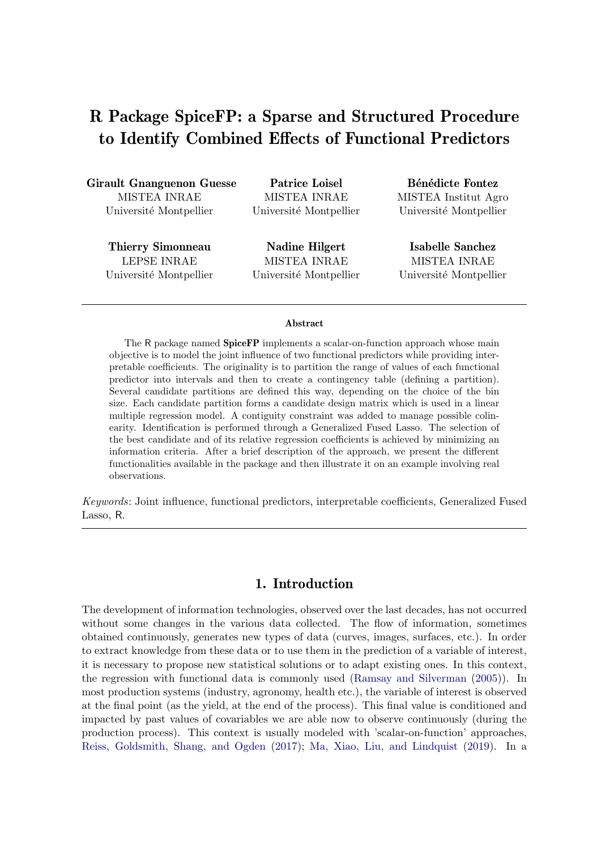# R Package SpiceFP: a Sparse and Structured Procedure to Identify Combined Effects of Functional Predictors

Girault Gnanguenon Guesse MISTEA INRAE Université Montpellier

Patrice Loisel MISTEA INRAE Université Montpellier

Thierry Simonneau LEPSE INRAE Université Montpellier

Nadine Hilgert MISTEA INRAE Université Montpellier

Bénédicte Fontez MISTEA Institut Agro Université Montpellier

Isabelle Sanchez MISTEA INRAE Université Montpellier

#### Abstract

The R package named SpiceFP implements a scalar-on-function approach whose main objective is to model the joint influence of two functional predictors while providing interpretable coefficients. The originality is to partition the range of values of each functional predictor into intervals and then to create a contingency table (defining a partition). Several candidate partitions are defined this way, depending on the choice of the bin size. Each candidate partition forms a candidate design matrix which is used in a linear multiple regression model. A contiguity constraint was added to manage possible colinearity. Identification is performed through a Generalized Fused Lasso. The selection of the best candidate and of its relative regression coefficients is achieved by minimizing an information criteria. After a brief description of the approach, we present the different functionalities available in the package and then illustrate it on an example involving real observations.

Keywords: Joint influence, functional predictors, interpretable coefficients, Generalized Fused Lasso, R.

## 1. Introduction

The development of information technologies, observed over the last decades, has not occurred without some changes in the various data collected. The flow of information, sometimes obtained continuously, generates new types of data (curves, images, surfaces, etc.). In order to extract knowledge from these data or to use them in the prediction of a variable of interest, it is necessary to propose new statistical solutions or to adapt existing ones. In this context, the regression with functional data is commonly used (Ramsay and Silverman (2005)). In most production systems (industry, agronomy, health etc.), the variable of interest is observed at the final point (as the yield, at the end of the process). This final value is conditioned and impacted by past values of covariables we are able now to observe continuously (during the production process). This context is usually modeled with 'scalar-on-function' approaches, Reiss, Goldsmith, Shang, and Ogden (2017); Ma, Xiao, Liu, and Lindquist (2019). In a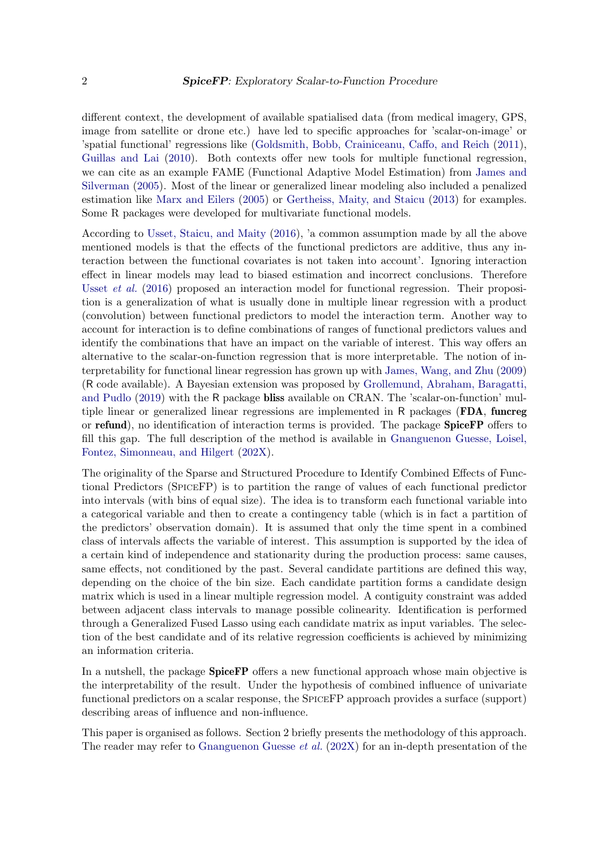different context, the development of available spatialised data (from medical imagery, GPS, image from satellite or drone etc.) have led to specific approaches for 'scalar-on-image' or 'spatial functional' regressions like (Goldsmith, Bobb, Crainiceanu, Caffo, and Reich (2011), Guillas and Lai (2010). Both contexts offer new tools for multiple functional regression, we can cite as an example FAME (Functional Adaptive Model Estimation) from James and Silverman (2005). Most of the linear or generalized linear modeling also included a penalized estimation like Marx and Eilers (2005) or Gertheiss, Maity, and Staicu (2013) for examples. Some R packages were developed for multivariate functional models.

According to Usset, Staicu, and Maity (2016), 'a common assumption made by all the above mentioned models is that the effects of the functional predictors are additive, thus any interaction between the functional covariates is not taken into account'. Ignoring interaction effect in linear models may lead to biased estimation and incorrect conclusions. Therefore Usset et al. (2016) proposed an interaction model for functional regression. Their proposition is a generalization of what is usually done in multiple linear regression with a product (convolution) between functional predictors to model the interaction term. Another way to account for interaction is to define combinations of ranges of functional predictors values and identify the combinations that have an impact on the variable of interest. This way offers an alternative to the scalar-on-function regression that is more interpretable. The notion of interpretability for functional linear regression has grown up with James, Wang, and Zhu (2009) (R code available). A Bayesian extension was proposed by Grollemund, Abraham, Baragatti, and Pudlo (2019) with the R package bliss available on CRAN. The 'scalar-on-function' multiple linear or generalized linear regressions are implemented in R packages (FDA, funcreg or refund), no identification of interaction terms is provided. The package SpiceFP offers to fill this gap. The full description of the method is available in Gnanguenon Guesse, Loisel, Fontez, Simonneau, and Hilgert (202X).

The originality of the Sparse and Structured Procedure to Identify Combined Effects of Functional Predictors (SPICEFP) is to partition the range of values of each functional predictor into intervals (with bins of equal size). The idea is to transform each functional variable into a categorical variable and then to create a contingency table (which is in fact a partition of the predictors' observation domain). It is assumed that only the time spent in a combined class of intervals affects the variable of interest. This assumption is supported by the idea of a certain kind of independence and stationarity during the production process: same causes, same effects, not conditioned by the past. Several candidate partitions are defined this way, depending on the choice of the bin size. Each candidate partition forms a candidate design matrix which is used in a linear multiple regression model. A contiguity constraint was added between adjacent class intervals to manage possible colinearity. Identification is performed through a Generalized Fused Lasso using each candidate matrix as input variables. The selection of the best candidate and of its relative regression coefficients is achieved by minimizing an information criteria.

In a nutshell, the package **SpiceFP** offers a new functional approach whose main objective is the interpretability of the result. Under the hypothesis of combined influence of univariate functional predictors on a scalar response, the SPICEFP approach provides a surface (support) describing areas of influence and non-influence.

This paper is organised as follows. Section 2 briefly presents the methodology of this approach. The reader may refer to Gnanguenon Guesse *et al.* (202X) for an in-depth presentation of the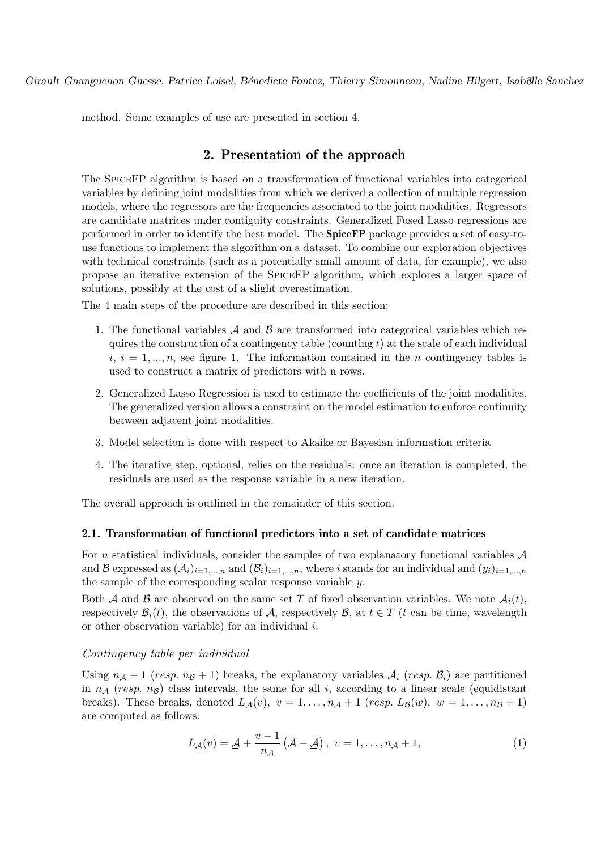method. Some examples of use are presented in section 4.

# 2. Presentation of the approach

The SPICEFP algorithm is based on a transformation of functional variables into categorical variables by defining joint modalities from which we derived a collection of multiple regression models, where the regressors are the frequencies associated to the joint modalities. Regressors are candidate matrices under contiguity constraints. Generalized Fused Lasso regressions are performed in order to identify the best model. The SpiceFP package provides a set of easy-touse functions to implement the algorithm on a dataset. To combine our exploration objectives with technical constraints (such as a potentially small amount of data, for example), we also propose an iterative extension of the SPICEFP algorithm, which explores a larger space of solutions, possibly at the cost of a slight overestimation.

The 4 main steps of the procedure are described in this section:

- 1. The functional variables  $A$  and  $B$  are transformed into categorical variables which requires the construction of a contingency table (counting  $t$ ) at the scale of each individual  $i, i = 1, \ldots, n$ , see figure 1. The information contained in the *n* contingency tables is used to construct a matrix of predictors with n rows.
- 2. Generalized Lasso Regression is used to estimate the coefficients of the joint modalities. The generalized version allows a constraint on the model estimation to enforce continuity between adjacent joint modalities.
- 3. Model selection is done with respect to Akaike or Bayesian information criteria
- 4. The iterative step, optional, relies on the residuals: once an iteration is completed, the residuals are used as the response variable in a new iteration.

The overall approach is outlined in the remainder of this section.

### 2.1. Transformation of functional predictors into a set of candidate matrices

For n statistical individuals, consider the samples of two explanatory functional variables  $A$ and B expressed as  $(A_i)_{i=1,\dots,n}$  and  $(B_i)_{i=1,\dots,n}$ , where i stands for an individual and  $(y_i)_{i=1,\dots,n}$ the sample of the corresponding scalar response variable y.

Both A and B are observed on the same set T of fixed observation variables. We note  $A_i(t)$ , respectively  $\mathcal{B}_i(t)$ , the observations of A, respectively  $\mathcal{B}_i$ , at  $t \in T$  (t can be time, wavelength or other observation variable) for an individual i.

#### Contingency table per individual

Using  $n_A + 1$  (resp.  $n_B + 1$ ) breaks, the explanatory variables  $A_i$  (resp.  $B_i$ ) are partitioned in  $n_A$  (resp. n<sub>B</sub>) class intervals, the same for all i, according to a linear scale (equidistant breaks). These breaks, denoted  $L_{\mathcal{A}}(v)$ ,  $v = 1, \ldots, n_{\mathcal{A}} + 1$  (resp.  $L_{\mathcal{B}}(w)$ ,  $w = 1, \ldots, n_{\mathcal{B}} + 1$ ) are computed as follows:

$$
L_{\mathcal{A}}(v) = \underline{\mathcal{A}} + \frac{v - 1}{n_{\mathcal{A}}} \left( \bar{\mathcal{A}} - \underline{\mathcal{A}} \right), \ v = 1, \dots, n_{\mathcal{A}} + 1,\tag{1}
$$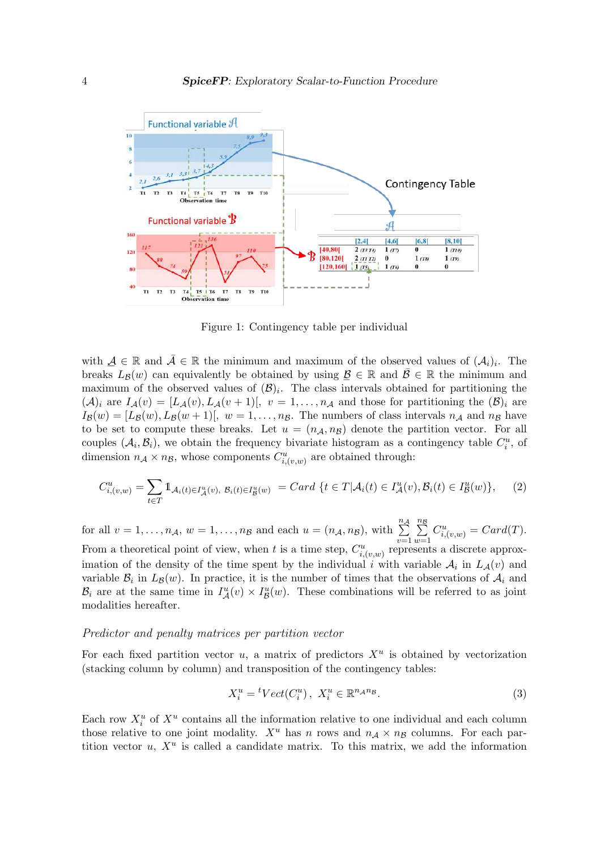

Figure 1: Contingency table per individual

with  $A \in \mathbb{R}$  and  $\overline{A} \in \mathbb{R}$  the minimum and maximum of the observed values of  $(A_i)_i$ . The breaks  $L_{\mathcal{B}}(w)$  can equivalently be obtained by using  $\mathcal{B} \in \mathbb{R}$  and  $\bar{\mathcal{B}} \in \mathbb{R}$  the minimum and maximum of the observed values of  $(\mathcal{B})_i$ . The class intervals obtained for partitioning the  $(\mathcal{A})_i$  are  $I_{\mathcal{A}}(v) = [L_{\mathcal{A}}(v), L_{\mathcal{A}}(v+1)], v = 1, \ldots, n_{\mathcal{A}}$  and those for partitioning the  $(\mathcal{B})_i$  are  $I_{\mathcal{B}}(w) = [L_{\mathcal{B}}(w), L_{\mathcal{B}}(w+1)], w = 1, \ldots, n_{\mathcal{B}}$ . The numbers of class intervals  $n_{\mathcal{A}}$  and  $n_{\mathcal{B}}$  have to be set to compute these breaks. Let  $u = (n_{\mathcal{A}}, n_{\mathcal{B}})$  denote the partition vector. For all couples  $(\mathcal{A}_i, \mathcal{B}_i)$ , we obtain the frequency bivariate histogram as a contingency table  $C_i^u$ , of dimension  $n_A \times n_B$ , whose components  $C_{i,(v,w)}^u$  are obtained through:

$$
C_{i,(v,w)}^u = \sum_{t \in T} \mathbb{1}_{\mathcal{A}_i(t) \in I^u_{\mathcal{A}}(v), \ \mathcal{B}_i(t) \in I^u_{\mathcal{B}}(w)} = Card \ \{t \in T | \mathcal{A}_i(t) \in I^u_{\mathcal{A}}(v), \mathcal{B}_i(t) \in I^u_{\mathcal{B}}(w) \},\tag{2}
$$

for all  $v = 1, \ldots, n_{A}, w = 1, \ldots, n_{B}$  and each  $u = (n_{A}, n_{B}),$  with  $\sum_{i=1}^{n_{A}}$  $v=1$  $\sum_{n=1}^{\infty}$  $w=1$  $C_{i,(v,w)}^u = Card(T).$ From a theoretical point of view, when t is a time step,  $C_{i,(v,w)}^u$  represents a discrete approximation of the density of the time spent by the individual i with variable  $A_i$  in  $L_A(v)$  and variable  $\mathcal{B}_i$  in  $L_{\mathcal{B}}(w)$ . In practice, it is the number of times that the observations of  $\mathcal{A}_i$  and  $\mathcal{B}_i$  are at the same time in  $I^u_{\mathcal{A}}(v) \times I^u_{\mathcal{B}}$  $\mathcal{B}(w)$ . These combinations will be referred to as joint modalities hereafter.

#### Predictor and penalty matrices per partition vector

For each fixed partition vector  $u$ , a matrix of predictors  $X^u$  is obtained by vectorization (stacking column by column) and transposition of the contingency tables:

$$
X_i^u = {}^tVect(C_i^u), \ X_i^u \in \mathbb{R}^{n_A n_B}.
$$
 (3)

Each row  $X_i^u$  of  $X^u$  contains all the information relative to one individual and each column those relative to one joint modality.  $X^u$  has n rows and  $n_A \times n_B$  columns. For each partition vector  $u, X^u$  is called a candidate matrix. To this matrix, we add the information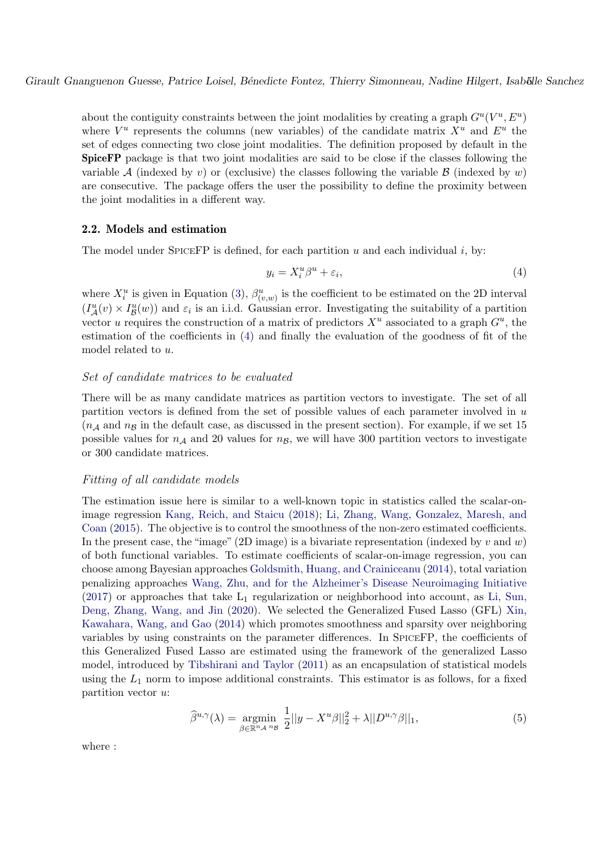about the contiguity constraints between the joint modalities by creating a graph  $G^u(V^u, E^u)$ where  $V^u$  represents the columns (new variables) of the candidate matrix  $X^u$  and  $E^u$  the set of edges connecting two close joint modalities. The definition proposed by default in the SpiceFP package is that two joint modalities are said to be close if the classes following the variable A (indexed by v) or (exclusive) the classes following the variable B (indexed by w) are consecutive. The package offers the user the possibility to define the proximity between the joint modalities in a different way.

## 2.2. Models and estimation

The model under SPICEFP is defined, for each partition  $u$  and each individual  $i$ , by:

$$
y_i = X_i^u \beta^u + \varepsilon_i,\tag{4}
$$

where  $X_i^u$  is given in Equation (3),  $\beta_{(v,w)}^u$  is the coefficient to be estimated on the 2D interval  $(I^u_{\mathcal{A}}(v) \times I^u_{\mathcal{B}}(w))$  and  $\varepsilon_i$  is an i.i.d. Gaussian error. Investigating the suitability of a partition vector u requires the construction of a matrix of predictors  $X^u$  associated to a graph  $G^u$ , the estimation of the coefficients in (4) and finally the evaluation of the goodness of fit of the model related to u.

### Set of candidate matrices to be evaluated

There will be as many candidate matrices as partition vectors to investigate. The set of all partition vectors is defined from the set of possible values of each parameter involved in u  $(n_A \text{ and } n_B \text{ in the default case, as discussed in the present section). For example, if we set 15$ possible values for  $n_A$  and 20 values for  $n_B$ , we will have 300 partition vectors to investigate or 300 candidate matrices.

## Fitting of all candidate models

The estimation issue here is similar to a well-known topic in statistics called the scalar-onimage regression Kang, Reich, and Staicu (2018); Li, Zhang, Wang, Gonzalez, Maresh, and Coan (2015). The objective is to control the smoothness of the non-zero estimated coefficients. In the present case, the "image" (2D image) is a bivariate representation (indexed by v and w) of both functional variables. To estimate coefficients of scalar-on-image regression, you can choose among Bayesian approaches Goldsmith, Huang, and Crainiceanu (2014), total variation penalizing approaches Wang, Zhu, and for the Alzheimer's Disease Neuroimaging Initiative  $(2017)$  or approaches that take  $L_1$  regularization or neighborhood into account, as Li, Sun, Deng, Zhang, Wang, and Jin (2020). We selected the Generalized Fused Lasso (GFL) Xin, Kawahara, Wang, and Gao (2014) which promotes smoothness and sparsity over neighboring variables by using constraints on the parameter differences. In SPICEFP, the coefficients of this Generalized Fused Lasso are estimated using the framework of the generalized Lasso model, introduced by Tibshirani and Taylor (2011) as an encapsulation of statistical models using the  $L_1$  norm to impose additional constraints. This estimator is as follows, for a fixed partition vector u:

$$
\widehat{\beta}^{u,\gamma}(\lambda) = \underset{\beta \in \mathbb{R}^n \mathcal{A}^{n_{\beta}}}{\operatorname{argmin}} \frac{1}{2} ||y - X^u \beta||_2^2 + \lambda ||D^{u,\gamma} \beta||_1,\tag{5}
$$

where :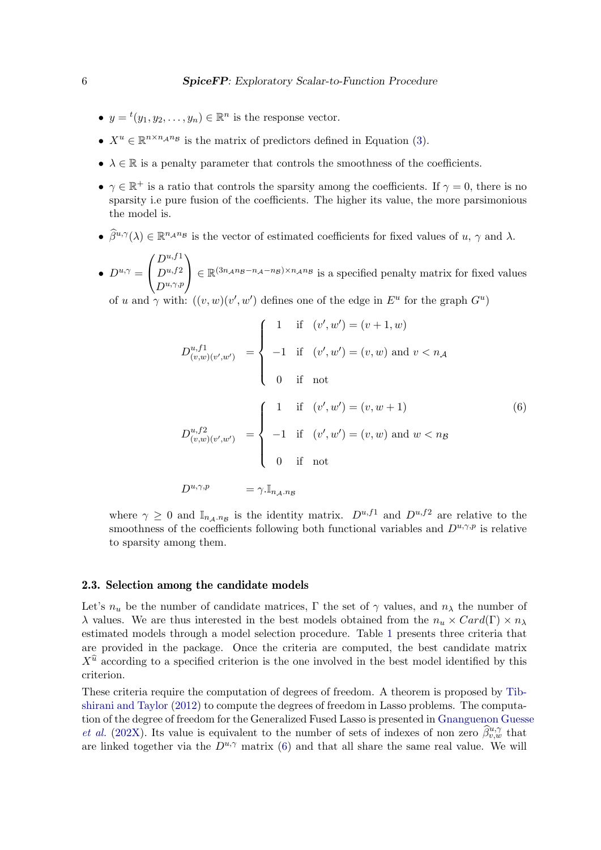- $y = {}^{t}(y_1, y_2, \ldots, y_n) \in \mathbb{R}^n$  is the response vector.
- $X^u \in \mathbb{R}^{n \times n_A n_B}$  is the matrix of predictors defined in Equation (3).
- $\lambda \in \mathbb{R}$  is a penalty parameter that controls the smoothness of the coefficients.
- $\gamma \in \mathbb{R}^+$  is a ratio that controls the sparsity among the coefficients. If  $\gamma = 0$ , there is no sparsity i.e pure fusion of the coefficients. The higher its value, the more parsimonious the model is.
- $\hat{\beta}^{u,\gamma}(\lambda) \in \mathbb{R}^{n_{\mathcal{A}}n_{\mathcal{B}}}$  is the vector of estimated coefficients for fixed values of  $u, \gamma$  and  $\lambda$ .
- $D^{u,\gamma} =$  $\sqrt{ }$  $\mathbf{I}$  $D^{u,f1}$  $D^{u,f2}$  $D^{u,\gamma,p}$  $\setminus$  $\Big\} \in \mathbb{R}^{(3n_{A}n_{B}-n_{A}-n_{B})\times n_{A}n_{B}}$  is a specified penalty matrix for fixed values

of u and  $\gamma$  with:  $((v, w)(v', w')$  defines one of the edge in  $E^u$  for the graph  $G^u$ )

$$
D_{(v,w)(v',w')}^{u,f1} = \begin{cases} 1 & \text{if } (v',w') = (v+1,w) \\ -1 & \text{if } (v',w') = (v,w) \text{ and } v < n_{\mathcal{A}} \\ 0 & \text{if } \text{not} \end{cases}
$$
  

$$
D_{(v,w)(v',w')}^{u,f2} = \begin{cases} 1 & \text{if } (v',w') = (v,w+1) \\ -1 & \text{if } (v',w') = (v,w) \text{ and } w < n_{\mathcal{B}} \\ 0 & \text{if } \text{not} \end{cases}
$$
  

$$
D_{(v,\mathcal{W})}^{u,f2} = \gamma \cdot \mathbb{I}_{n_{\mathcal{A}} \cdot n_{\mathcal{B}}}
$$
  

$$
D_{(v,\mathcal{B})}^{u,f2} = \gamma \cdot \mathbb{I}_{n_{\mathcal{A}} \cdot n_{\mathcal{B}}}
$$
  

$$
(6)
$$

where  $\gamma \geq 0$  and  $\mathbb{I}_{n_{\mathcal{A}} \cdot n_{\mathcal{B}}}$  is the identity matrix.  $D^{u,f1}$  and  $D^{u,f2}$  are relative to the smoothness of the coefficients following both functional variables and  $D^{u,\gamma,p}$  is relative to sparsity among them.

#### 2.3. Selection among the candidate models

Let's  $n_u$  be the number of candidate matrices, Γ the set of  $\gamma$  values, and  $n_\lambda$  the number of λ values. We are thus interested in the best models obtained from the  $n_u \times Card(\Gamma) \times n_\lambda$ estimated models through a model selection procedure. Table 1 presents three criteria that are provided in the package. Once the criteria are computed, the best candidate matrix  $X^{\hat{u}}$  according to a specified criterion is the one involved in the best model identified by this criterion.

These criteria require the computation of degrees of freedom. A theorem is proposed by Tibshirani and Taylor (2012) to compute the degrees of freedom in Lasso problems. The computation of the degree of freedom for the Generalized Fused Lasso is presented in Gnanguenon Guesse *et al.* (202X). Its value is equivalent to the number of sets of indexes of non zero  $\hat{\beta}_{v,w}^{u,\gamma}$  that are linked together via the  $D^{u,\gamma}$  matrix (6) and that all share the same real value. We will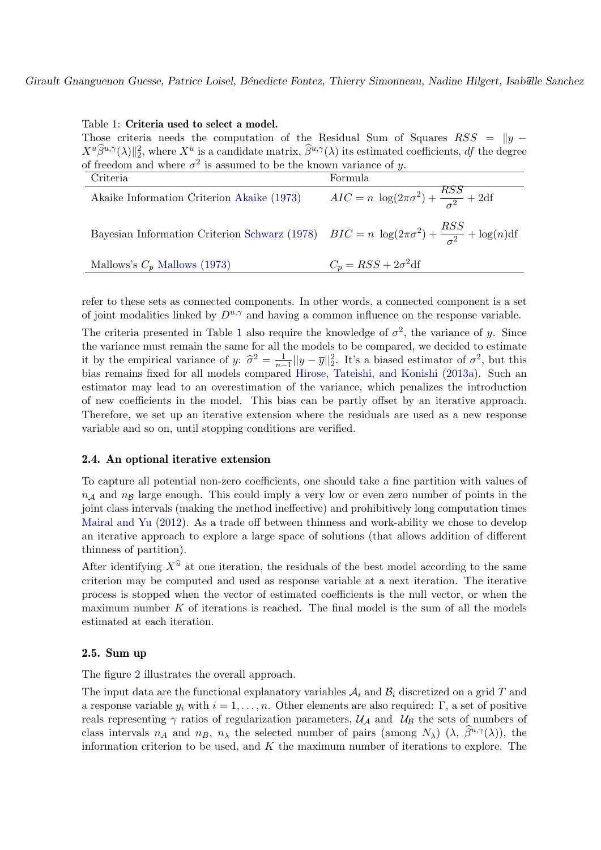#### Table 1: Criteria used to select a model.

Those criteria needs the computation of the Residual Sum of Squares RSS =  $||y - z||$  $X^u\hat{\beta}^{u,\gamma}(\lambda)\|_2^2$ , where  $X^u$  is a candidate matrix,  $\hat{\beta}^{u,\gamma}(\lambda)$  its estimated coefficients, df the degree of freedom and where  $\sigma^2$  is assumed to be the known variance of y.

| Criteria                                                                                                      | Formula                                                   |
|---------------------------------------------------------------------------------------------------------------|-----------------------------------------------------------|
| Akaike Information Criterion Akaike (1973)                                                                    | $AIC = n \log(2\pi\sigma^2) + \frac{RSS}{\sigma^2} + 2df$ |
| Bayesian Information Criterion Schwarz (1978) $BIC = n \log(2\pi\sigma^2) + \frac{RSS}{\sigma^2} + \log(n)df$ |                                                           |
| Mallows's $C_p$ Mallows (1973)                                                                                | $C_p = RSS + 2\sigma^2 df$                                |

refer to these sets as connected components. In other words, a connected component is a set of joint modalities linked by  $D^{u,\gamma}$  and having a common influence on the response variable.

The criteria presented in Table 1 also require the knowledge of  $\sigma^2$ , the variance of y. Since the variance must remain the same for all the models to be compared, we decided to estimate it by the empirical variance of y:  $\hat{\sigma}^2 = \frac{1}{n-1} ||y - \overline{y}||_2^2$ . It's a biased estimator of  $\sigma^2$ , but this  $\frac{1}{n-1}$ || $y - y$ ||2 bias remains fixed for all models compared Hirose, Tateishi, and Konishi (2013a). Such an estimator may lead to an overestimation of the variance, which penalizes the introduction of new coefficients in the model. This bias can be partly offset by an iterative approach. Therefore, we set up an iterative extension where the residuals are used as a new response variable and so on, until stopping conditions are verified.

### 2.4. An optional iterative extension

To capture all potential non-zero coefficients, one should take a fine partition with values of  $n_A$  and  $n_B$  large enough. This could imply a very low or even zero number of points in the joint class intervals (making the method ineffective) and prohibitively long computation times Mairal and Yu (2012). As a trade off between thinness and work-ability we chose to develop an iterative approach to explore a large space of solutions (that allows addition of different thinness of partition).

After identifying  $X^{\hat{u}}$  at one iteration, the residuals of the best model according to the same criterion may be computed and used as response variable at a next iteration. The iterative process is stopped when the vector of estimated coefficients is the null vector, or when the maximum number  $K$  of iterations is reached. The final model is the sum of all the models estimated at each iteration.

### 2.5. Sum up

The figure 2 illustrates the overall approach.

The input data are the functional explanatory variables  $A_i$  and  $B_i$  discretized on a grid T and a response variable  $y_i$  with  $i = 1, \ldots, n$ . Other elements are also required: Γ, a set of positive reals representing  $\gamma$  ratios of regularization parameters,  $\mathcal{U}_{\mathcal{A}}$  and  $\mathcal{U}_{\mathcal{B}}$  the sets of numbers of class intervals  $n_A$  and  $n_B$ ,  $n_\lambda$  the selected number of pairs (among  $N_\lambda$ )  $(\lambda, \hat{\beta}^{u,\gamma}(\lambda))$ , the information criterion to be used, and  $K$  the maximum number of iterations to explore. The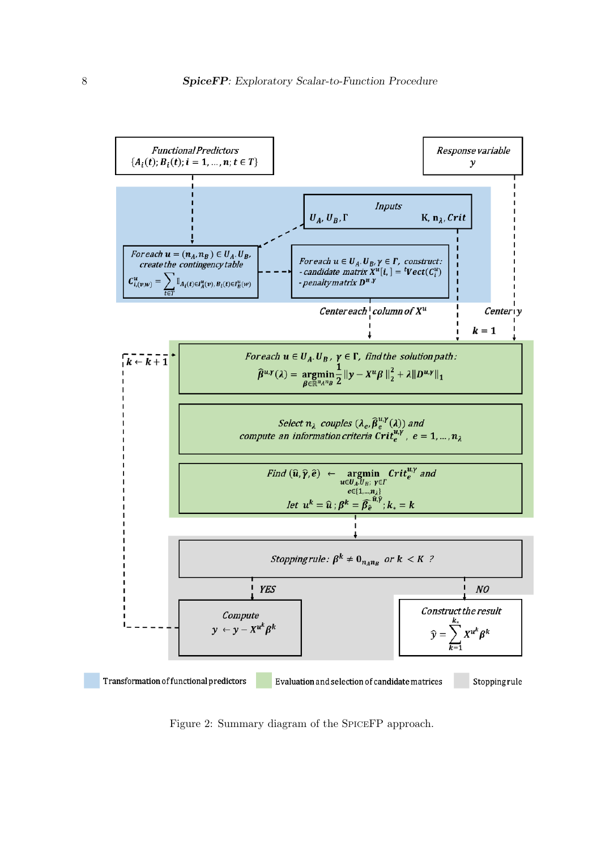

Figure 2: Summary diagram of the SPICEFP approach.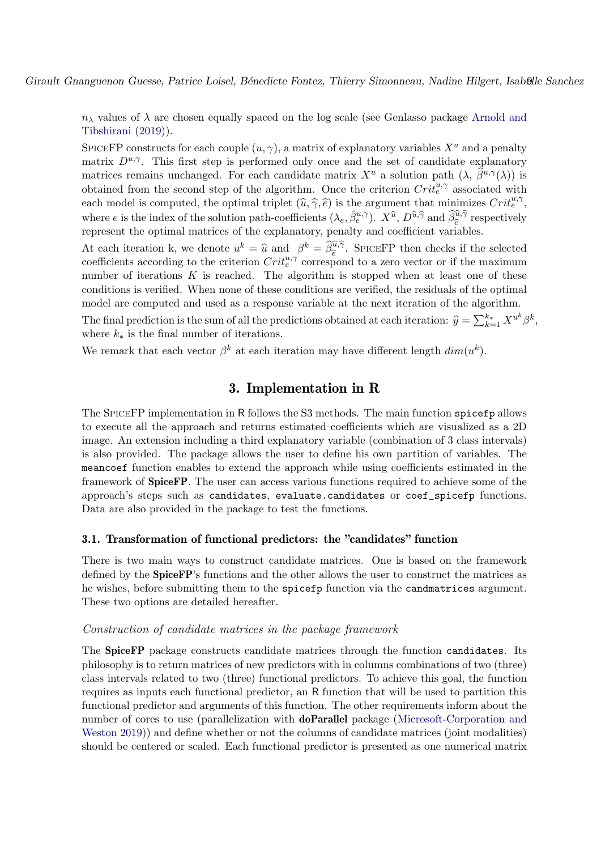$n_{\lambda}$  values of  $\lambda$  are chosen equally spaced on the log scale (see Genlasso package Arnold and Tibshirani (2019)).

SPICEFP constructs for each couple  $(u, \gamma)$ , a matrix of explanatory variables  $X^u$  and a penalty matrix  $D^{u,\gamma}$ . This first step is performed only once and the set of candidate explanatory matrices remains unchanged. For each candidate matrix  $X^u$  a solution path  $(\lambda, \hat{\beta}^{u,\gamma}(\lambda))$  is obtained from the second step of the algorithm. Once the criterion  $Crit_e^{u, \gamma}$  associated with each model is computed, the optimal triplet  $(\hat{u}, \hat{\gamma}, \hat{e})$  is the argument that minimizes  $Crit^{u, \gamma}_{\hat{e}},$ where e is the index of the solution path-coefficients  $(\lambda_e, \hat{\beta}_e^{u,\gamma})$ .  $X^{\hat{u}}, D^{\hat{u},\hat{\gamma}}$  and  $\hat{\beta}_{\hat{e}}^{\hat{u},\hat{\gamma}}$  respectively represent the optimal matrices of the explanatory, penalty and coefficient variables.

At each iteration k, we denote  $u^k = \hat{u}$  and  $\beta^k = \hat{\beta}_{\hat{e}}^{\hat{u}, \hat{\gamma}}$ . SPICEFP then checks if the selected coefficients according to the criterion  $Crit_e^{u,\gamma}$  correspond to a zero vector or if the maximum number of iterations  $K$  is reached. The algorithm is stopped when at least one of these conditions is verified. When none of these conditions are verified, the residuals of the optimal model are computed and used as a response variable at the next iteration of the algorithm.

The final prediction is the sum of all the predictions obtained at each iteration:  $\hat{y} = \sum_{k=1}^{k_*} X^{u^k} \beta^k$ , where  $k_*$  is the final number of iterations.

We remark that each vector  $\beta^k$  at each iteration may have different length  $dim(u^k)$ .

# 3. Implementation in R

The SPICEFP implementation in R follows the S3 methods. The main function spicefp allows to execute all the approach and returns estimated coefficients which are visualized as a 2D image. An extension including a third explanatory variable (combination of 3 class intervals) is also provided. The package allows the user to define his own partition of variables. The meancoef function enables to extend the approach while using coefficients estimated in the framework of SpiceFP. The user can access various functions required to achieve some of the approach's steps such as candidates, evaluate.candidates or coef\_spicefp functions. Data are also provided in the package to test the functions.

### 3.1. Transformation of functional predictors: the "candidates" function

There is two main ways to construct candidate matrices. One is based on the framework defined by the SpiceFP's functions and the other allows the user to construct the matrices as he wishes, before submitting them to the spicefp function via the candmatrices argument. These two options are detailed hereafter.

### Construction of candidate matrices in the package framework

The SpiceFP package constructs candidate matrices through the function candidates. Its philosophy is to return matrices of new predictors with in columns combinations of two (three) class intervals related to two (three) functional predictors. To achieve this goal, the function requires as inputs each functional predictor, an R function that will be used to partition this functional predictor and arguments of this function. The other requirements inform about the number of cores to use (parallelization with **doParallel** package (Microsoft-Corporation and Weston 2019)) and define whether or not the columns of candidate matrices (joint modalities) should be centered or scaled. Each functional predictor is presented as one numerical matrix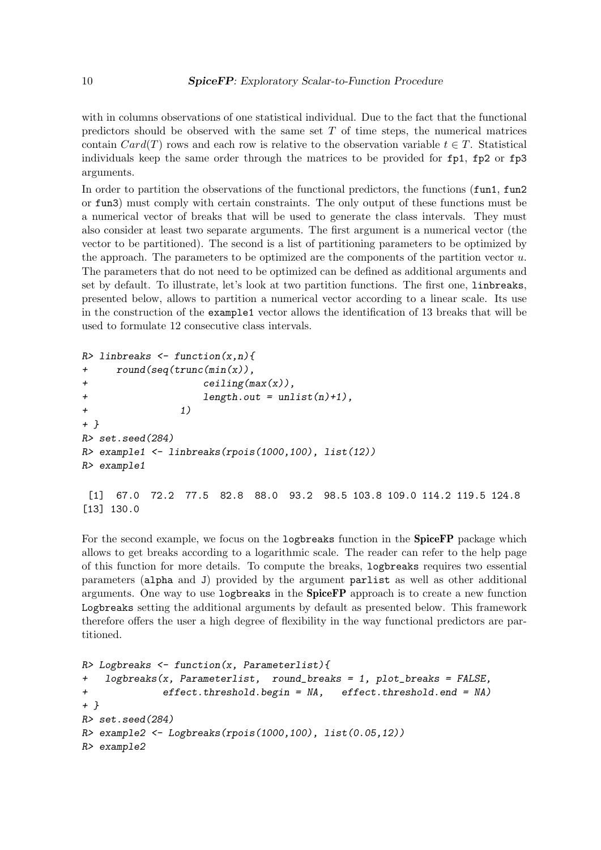with in columns observations of one statistical individual. Due to the fact that the functional predictors should be observed with the same set  $T$  of time steps, the numerical matrices contain  $Card(T)$  rows and each row is relative to the observation variable  $t \in T$ . Statistical individuals keep the same order through the matrices to be provided for fp1, fp2 or fp3 arguments.

In order to partition the observations of the functional predictors, the functions (fun1, fun2 or fun3) must comply with certain constraints. The only output of these functions must be a numerical vector of breaks that will be used to generate the class intervals. They must also consider at least two separate arguments. The first argument is a numerical vector (the vector to be partitioned). The second is a list of partitioning parameters to be optimized by the approach. The parameters to be optimized are the components of the partition vector  $u$ . The parameters that do not need to be optimized can be defined as additional arguments and set by default. To illustrate, let's look at two partition functions. The first one, linbreaks, presented below, allows to partition a numerical vector according to a linear scale. Its use in the construction of the example1 vector allows the identification of 13 breaks that will be used to formulate 12 consecutive class intervals.

```
R> linbreaks \leq function(x, n){
+ round(seq(trunc(min(x)),
+ ceiling(max(x)),
+ length.out = unlist(n)+1),
+ 1)
+ }
R> set.seed(284)
R> example1 <- linbreaks(rpois(1000,100), list(12))
R> example1
[1] 67.0 72.2 77.5 82.8 88.0 93.2 98.5 103.8 109.0 114.2 119.5 124.8
[13] 130.0
```
For the second example, we focus on the logbreaks function in the **SpiceFP** package which allows to get breaks according to a logarithmic scale. The reader can refer to the help page of this function for more details. To compute the breaks, logbreaks requires two essential parameters (alpha and J) provided by the argument parlist as well as other additional arguments. One way to use  $logbreaks$  in the  $SpiceFP$  approach is to create a new function Logbreaks setting the additional arguments by default as presented below. This framework therefore offers the user a high degree of flexibility in the way functional predictors are partitioned.

```
R> Logbreaks \leq function(x, Parameterlist){
+ logbreaks(x, Parameterlist, round_breaks = 1, plot_breaks = FALSE,
+ effect.threshold.begin = NA, effect.threshold.end = NA)
+ }
R> set.seed(284)
R> example2 <- Logbreaks(rpois(1000,100), list(0.05,12))
R> example2
```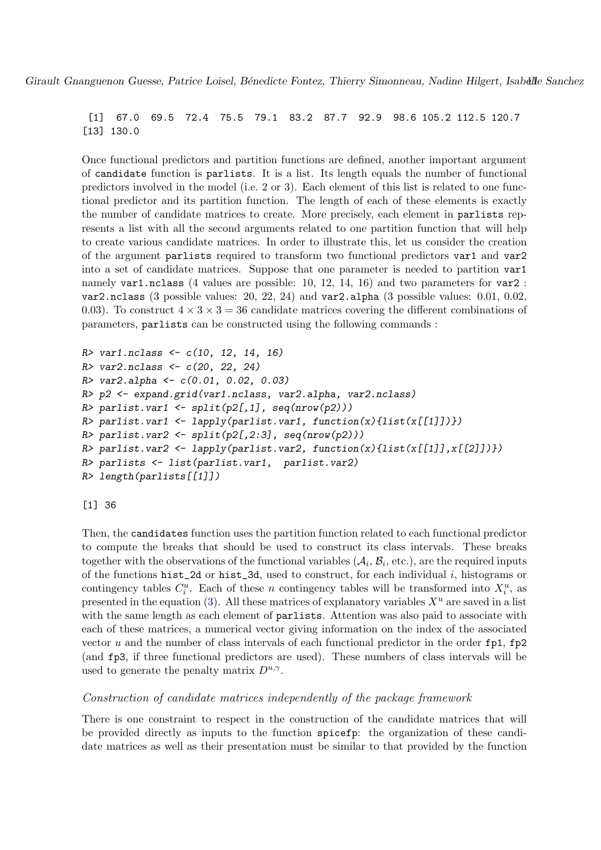[1] 67.0 69.5 72.4 75.5 79.1 83.2 87.7 92.9 98.6 105.2 112.5 120.7 [13] 130.0

Once functional predictors and partition functions are defined, another important argument of candidate function is parlists. It is a list. Its length equals the number of functional predictors involved in the model (i.e. 2 or 3). Each element of this list is related to one functional predictor and its partition function. The length of each of these elements is exactly the number of candidate matrices to create. More precisely, each element in parlists represents a list with all the second arguments related to one partition function that will help to create various candidate matrices. In order to illustrate this, let us consider the creation of the argument parlists required to transform two functional predictors var1 and var2 into a set of candidate matrices. Suppose that one parameter is needed to partition var1 namely var1.nclass (4 values are possible: 10, 12, 14, 16) and two parameters for var2 : var2.nclass (3 possible values: 20, 22, 24) and var2.alpha (3 possible values: 0.01, 0.02, 0.03). To construct  $4 \times 3 \times 3 = 36$  candidate matrices covering the different combinations of parameters, parlists can be constructed using the following commands :

```
R var1.nclass \leq c(10, 12, 14, 16)R var2.nclass \leftarrow c(20, 22, 24)R> var2.alpha <- c(0.01, 0.02, 0.03)
R> p2 <- expand.grid(var1.nclass, var2.alpha, var2.nclass)
R> parlist.var1 <- split(p2[,1], seq(nrow(p2)))
R> parlist.var1 <- lapply(parlist.var1, function(x){list(x[[1]])})
R> parlist.var2 <- split(p2[,2:3], seq(nrow(p2)))
R> parlist.var2 <- lapply(parlist.var2, function(x){list(x[[1]],x[[2]])})
R> parlists <- list(parlist.var1, parlist.var2)
R> length(parlists[[1]])
```
[1] 36

Then, the candidates function uses the partition function related to each functional predictor to compute the breaks that should be used to construct its class intervals. These breaks together with the observations of the functional variables  $(A_i, B_i, \text{etc.})$ , are the required inputs of the functions hist\_2d or hist\_3d, used to construct, for each individual  $i$ , histograms or contingency tables  $C_i^u$ . Each of these n contingency tables will be transformed into  $X_i^u$ , as presented in the equation (3). All these matrices of explanatory variables  $X^u$  are saved in a list with the same length as each element of **parlists**. Attention was also paid to associate with each of these matrices, a numerical vector giving information on the index of the associated vector u and the number of class intervals of each functional predictor in the order  $fp1, fp2$ (and fp3, if three functional predictors are used). These numbers of class intervals will be used to generate the penalty matrix  $D^{u,\gamma}$ .

### Construction of candidate matrices independently of the package framework

There is one constraint to respect in the construction of the candidate matrices that will be provided directly as inputs to the function spicefp: the organization of these candidate matrices as well as their presentation must be similar to that provided by the function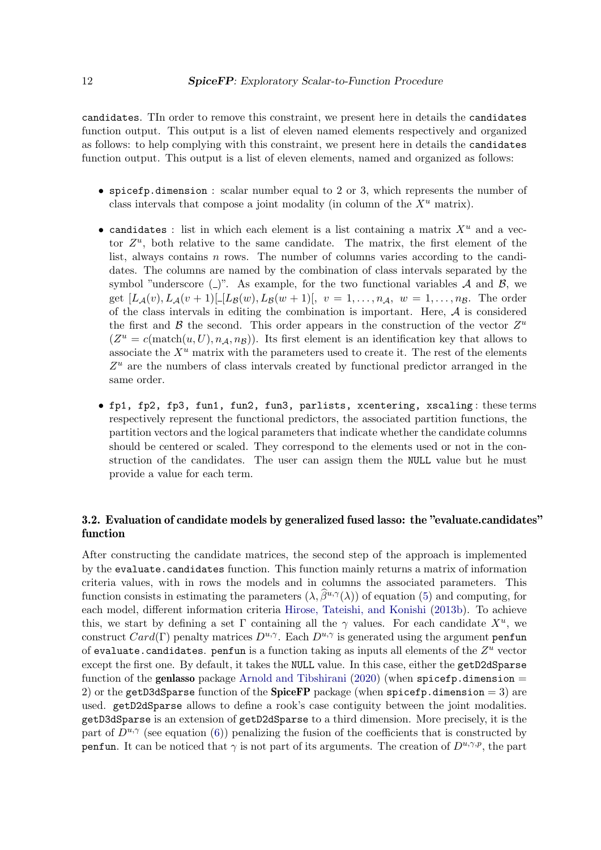candidates. TIn order to remove this constraint, we present here in details the candidates function output. This output is a list of eleven named elements respectively and organized as follows: to help complying with this constraint, we present here in details the candidates function output. This output is a list of eleven elements, named and organized as follows:

- spicefp.dimension : scalar number equal to 2 or 3, which represents the number of class intervals that compose a joint modality (in column of the  $X^u$  matrix).
- candidates : list in which each element is a list containing a matrix  $X^u$  and a vector  $Z^u$ , both relative to the same candidate. The matrix, the first element of the list, always contains  $n$  rows. The number of columns varies according to the candidates. The columns are named by the combination of class intervals separated by the symbol "underscore  $(\_)$ ". As example, for the two functional variables A and B, we get  $[L_{\mathcal{A}}(v), L_{\mathcal{A}}(v+1)]-[L_{\mathcal{B}}(w), L_{\mathcal{B}}(w+1)], v = 1, \ldots, n_{\mathcal{A}}, w = 1, \ldots, n_{\mathcal{B}}.$  The order of the class intervals in editing the combination is important. Here,  $A$  is considered the first and  $\beta$  the second. This order appears in the construction of the vector  $Z^u$  $(Z^u = c(\text{match}(u, U), n_{\mathcal{A}}, n_{\mathcal{B}}))$ . Its first element is an identification key that allows to associate the  $X^u$  matrix with the parameters used to create it. The rest of the elements  $Z<sup>u</sup>$  are the numbers of class intervals created by functional predictor arranged in the same order.
- fp1, fp2, fp3, fun1, fun2, fun3, parlists, xcentering, xscaling : these terms respectively represent the functional predictors, the associated partition functions, the partition vectors and the logical parameters that indicate whether the candidate columns should be centered or scaled. They correspond to the elements used or not in the construction of the candidates. The user can assign them the NULL value but he must provide a value for each term.

## 3.2. Evaluation of candidate models by generalized fused lasso: the "evaluate.candidates" function

After constructing the candidate matrices, the second step of the approach is implemented by the evaluate.candidates function. This function mainly returns a matrix of information criteria values, with in rows the models and in columns the associated parameters. This function consists in estimating the parameters  $(\lambda, \hat{\beta}^{u,\gamma}(\lambda))$  of equation (5) and computing, for each model, different information criteria Hirose, Tateishi, and Konishi (2013b). To achieve this, we start by defining a set  $\Gamma$  containing all the  $\gamma$  values. For each candidate  $X^u$ , we construct Card(Γ) penalty matrices  $D^{u,\gamma}$ . Each  $D^{u,\gamma}$  is generated using the argument penfun of evaluate.candidates. penfun is a function taking as inputs all elements of the  $Z^u$  vector except the first one. By default, it takes the NULL value. In this case, either the getD2dSparse function of the genlasso package Arnold and Tibshirani  $(2020)$  (when spicefp.dimension = 2) or the getD3dSparse function of the SpiceFP package (when spicefp.dimension = 3) are used. getD2dSparse allows to define a rook's case contiguity between the joint modalities. getD3dSparse is an extension of getD2dSparse to a third dimension. More precisely, it is the part of  $D^{u,\gamma}$  (see equation (6)) penalizing the fusion of the coefficients that is constructed by penfun. It can be noticed that  $\gamma$  is not part of its arguments. The creation of  $D^{u,\gamma,p}$ , the part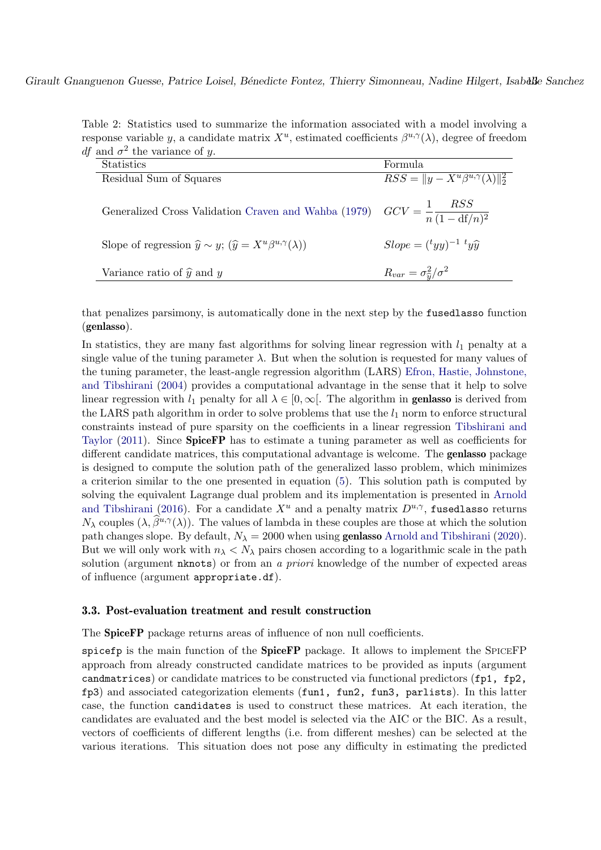Table 2: Statistics used to summarize the information associated with a model involving a response variable y, a candidate matrix  $X^u$ , estimated coefficients  $\beta^{u,\gamma}(\lambda)$ , degree of freedom *df* and  $\sigma^2$  the variance of y.

| Statistics                                                                                        | Formula                                          |
|---------------------------------------------------------------------------------------------------|--------------------------------------------------|
| Residual Sum of Squares                                                                           | $RSS =   y - X^u\beta^{u,\gamma}(\lambda)  _2^2$ |
| Generalized Cross Validation Craven and Wahba (1979) $GCV = \frac{1}{n} \frac{RSS}{(1 - df/n)^2}$ |                                                  |
| Slope of regression $\hat{y} \sim y$ ; $(\hat{y} = X^u \beta^{u,\gamma}(\lambda))$                | $Slope = {t_{yy}}^{-1} {t_{y\hat{y}}}$           |
| Variance ratio of $\hat{y}$ and y                                                                 | $R_{var} = \sigma_{\widehat{n}}^2/\sigma^2$      |

that penalizes parsimony, is automatically done in the next step by the fusedlasso function (genlasso).

In statistics, they are many fast algorithms for solving linear regression with  $l_1$  penalty at a single value of the tuning parameter  $\lambda$ . But when the solution is requested for many values of the tuning parameter, the least-angle regression algorithm (LARS) Efron, Hastie, Johnstone, and Tibshirani (2004) provides a computational advantage in the sense that it help to solve linear regression with  $l_1$  penalty for all  $\lambda \in [0,\infty]$ . The algorithm in **genlasso** is derived from the LARS path algorithm in order to solve problems that use the  $l_1$  norm to enforce structural constraints instead of pure sparsity on the coefficients in a linear regression Tibshirani and Taylor (2011). Since **SpiceFP** has to estimate a tuning parameter as well as coefficients for different candidate matrices, this computational advantage is welcome. The **genlasso** package is designed to compute the solution path of the generalized lasso problem, which minimizes a criterion similar to the one presented in equation (5). This solution path is computed by solving the equivalent Lagrange dual problem and its implementation is presented in Arnold and Tibshirani (2016). For a candidate  $X^u$  and a penalty matrix  $D^{u,\gamma}$ , fusedlasso returns  $N_{\lambda}$  couples  $(\lambda, \beta^{u,\gamma}(\lambda))$ . The values of lambda in these couples are those at which the solution path changes slope. By default,  $N_{\lambda} = 2000$  when using **genlasso** Arnold and Tibshirani (2020). But we will only work with  $n_{\lambda} < N_{\lambda}$  pairs chosen according to a logarithmic scale in the path solution (argument nknots) or from an a priori knowledge of the number of expected areas of influence (argument appropriate.df).

### 3.3. Post-evaluation treatment and result construction

The SpiceFP package returns areas of influence of non null coefficients.

spicefp is the main function of the **SpiceFP** package. It allows to implement the SPICEFP approach from already constructed candidate matrices to be provided as inputs (argument candmatrices) or candidate matrices to be constructed via functional predictors (fp1, fp2, fp3) and associated categorization elements (fun1, fun2, fun3, parlists). In this latter case, the function candidates is used to construct these matrices. At each iteration, the candidates are evaluated and the best model is selected via the AIC or the BIC. As a result, vectors of coefficients of different lengths (i.e. from different meshes) can be selected at the various iterations. This situation does not pose any difficulty in estimating the predicted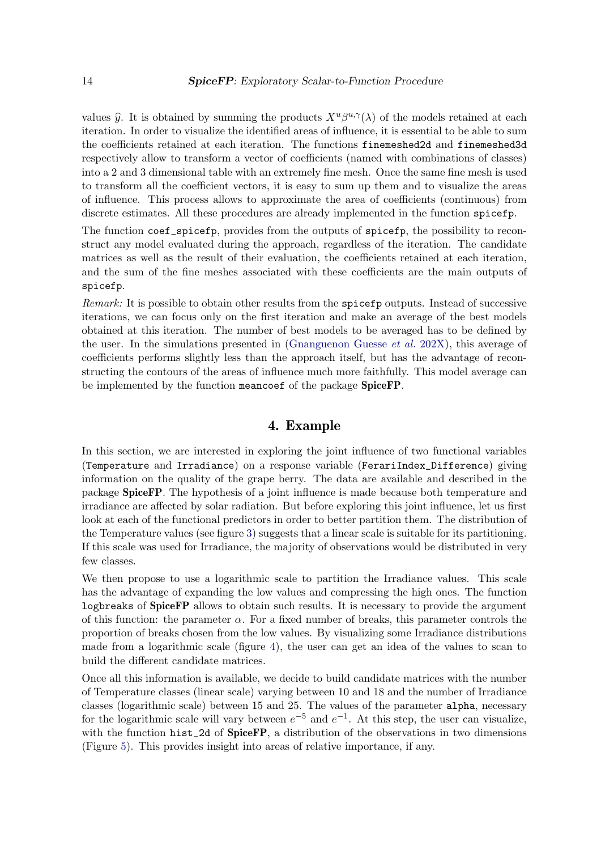values  $\hat{y}$ . It is obtained by summing the products  $X^u \beta^{u,\gamma}(\lambda)$  of the models retained at each iteration. In order to visualize the identified areas of influence, it is essential to be able to sum the coefficients retained at each iteration. The functions finemeshed2d and finemeshed3d respectively allow to transform a vector of coefficients (named with combinations of classes) into a 2 and 3 dimensional table with an extremely fine mesh. Once the same fine mesh is used to transform all the coefficient vectors, it is easy to sum up them and to visualize the areas of influence. This process allows to approximate the area of coefficients (continuous) from discrete estimates. All these procedures are already implemented in the function spicefp.

The function coef\_spicefp, provides from the outputs of spicefp, the possibility to reconstruct any model evaluated during the approach, regardless of the iteration. The candidate matrices as well as the result of their evaluation, the coefficients retained at each iteration, and the sum of the fine meshes associated with these coefficients are the main outputs of spicefp.

Remark: It is possible to obtain other results from the spicefp outputs. Instead of successive iterations, we can focus only on the first iteration and make an average of the best models obtained at this iteration. The number of best models to be averaged has to be defined by the user. In the simulations presented in (Gnanguenon Guesse et al. 202X), this average of coefficients performs slightly less than the approach itself, but has the advantage of reconstructing the contours of the areas of influence much more faithfully. This model average can be implemented by the function meancoef of the package **SpiceFP**.

# 4. Example

In this section, we are interested in exploring the joint influence of two functional variables (Temperature and Irradiance) on a response variable (FerariIndex\_Difference) giving information on the quality of the grape berry. The data are available and described in the package SpiceFP. The hypothesis of a joint influence is made because both temperature and irradiance are affected by solar radiation. But before exploring this joint influence, let us first look at each of the functional predictors in order to better partition them. The distribution of the Temperature values (see figure 3) suggests that a linear scale is suitable for its partitioning. If this scale was used for Irradiance, the majority of observations would be distributed in very few classes.

We then propose to use a logarithmic scale to partition the Irradiance values. This scale has the advantage of expanding the low values and compressing the high ones. The function logbreaks of SpiceFP allows to obtain such results. It is necessary to provide the argument of this function: the parameter  $\alpha$ . For a fixed number of breaks, this parameter controls the proportion of breaks chosen from the low values. By visualizing some Irradiance distributions made from a logarithmic scale (figure 4), the user can get an idea of the values to scan to build the different candidate matrices.

Once all this information is available, we decide to build candidate matrices with the number of Temperature classes (linear scale) varying between 10 and 18 and the number of Irradiance classes (logarithmic scale) between 15 and 25. The values of the parameter alpha, necessary for the logarithmic scale will vary between  $e^{-5}$  and  $e^{-1}$ . At this step, the user can visualize, with the function hist\_2d of SpiceFP, a distribution of the observations in two dimensions (Figure 5). This provides insight into areas of relative importance, if any.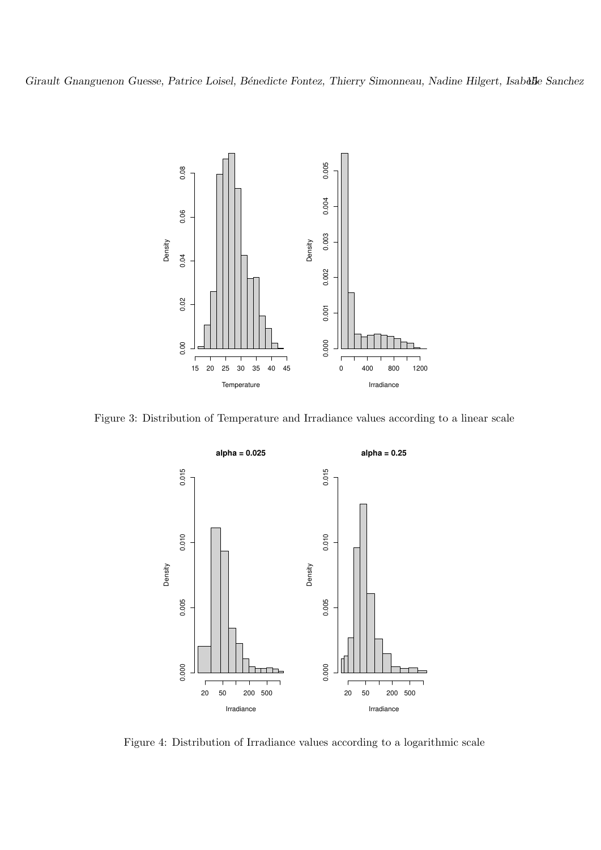

Figure 3: Distribution of Temperature and Irradiance values according to a linear scale



Figure 4: Distribution of Irradiance values according to a logarithmic scale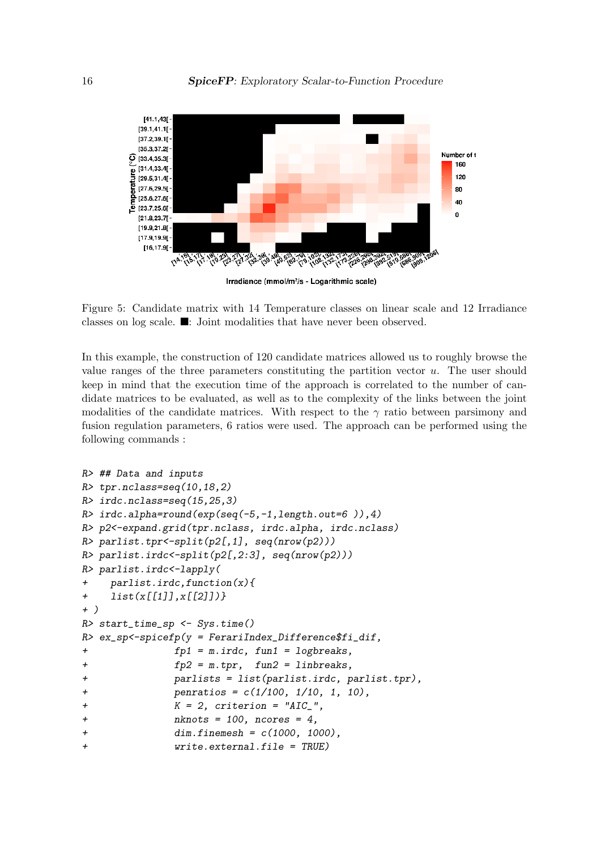

Figure 5: Candidate matrix with 14 Temperature classes on linear scale and 12 Irradiance classes on log scale. ■: Joint modalities that have never been observed.

In this example, the construction of 120 candidate matrices allowed us to roughly browse the value ranges of the three parameters constituting the partition vector  $u$ . The user should keep in mind that the execution time of the approach is correlated to the number of candidate matrices to be evaluated, as well as to the complexity of the links between the joint modalities of the candidate matrices. With respect to the  $\gamma$  ratio between parsimony and fusion regulation parameters, 6 ratios were used. The approach can be performed using the following commands :

```
R> ## Data and inputs
R> tpr.nclass=seq(10,18,2)
R> irdc.nclass=seq(15,25,3)
R> irdc.alpha=round(exp(seq(-5,-1,length.out=6 )),4)
R> p2<-expand.grid(tpr.nclass, irdc.alpha, irdc.nclass)
R> parlist.tpr<-split(p2[,1], seq(nrow(p2)))
R> parlist.irdc<-split(p2[,2:3], seq(nrow(p2)))
R> parlist.irdc<-lapply(
+ parlist.irdc,function(x){
+ list(x[[1]],x[[2]])}
+ )
R> start_time_sp <- Sys.time()
R> ex_sp <-spicefp(y = FerariIndex_Difference$fi_dif,
+ fp1 = m.irdc, fun1 = logbreaks,
+ fp2 = m.tpr, fun2 = linbreaks,
+ parlists = list(parlist.irdc, parlist.tpr),
+ penratios = c(1/100, 1/10, 1, 10),
+ K = 2, criterion = "AIC_",
+ nknots = 100, ncores = 4,
+ dim.finemesh = c(1000, 1000),
+ write.external.file = TRUE)
```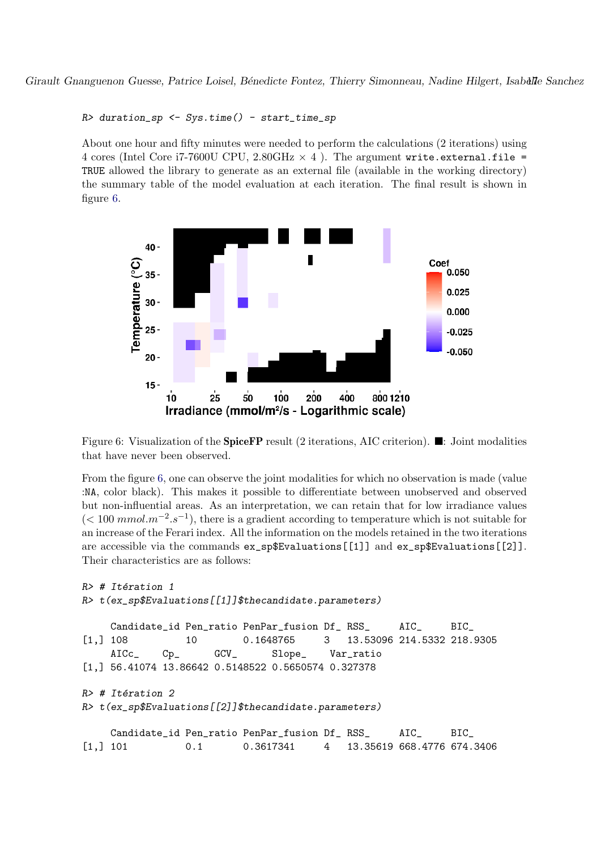```
R> duration_sp <- Sys.time() - start_time_sp
```
About one hour and fifty minutes were needed to perform the calculations (2 iterations) using 4 cores (Intel Core i7-7600U CPU,  $2.80\text{GHz} \times 4$ ). The argument write.external.file = TRUE allowed the library to generate as an external file (available in the working directory) the summary table of the model evaluation at each iteration. The final result is shown in figure 6.



Figure 6: Visualization of the SpiceFP result (2 iterations, AIC criterion). ■: Joint modalities that have never been observed.

From the figure 6, one can observe the joint modalities for which no observation is made (value :NA, color black). This makes it possible to differentiate between unobserved and observed but non-influential areas. As an interpretation, we can retain that for low irradiance values  $(< 100$  mmol. $m^{-2} . s^{-1}$ , there is a gradient according to temperature which is not suitable for an increase of the Ferari index. All the information on the models retained in the two iterations are accessible via the commands ex\_sp\$Evaluations[[1]] and ex\_sp\$Evaluations[[2]]. Their characteristics are as follows:

```
R> # Itération 1
R> t(ex_sp$Evaluations[[1]]$thecandidate.parameters)
    Candidate_id Pen_ratio PenPar_fusion Df_ RSS_ AIC_ BIC_
[1,] 108 10 0.1648765 3 13.53096 214.5332 218.9305
    AICc_ Cp_ GCV_ Slope_ Var_ratio
[1,] 56.41074 13.86642 0.5148522 0.5650574 0.327378
R * Itération 2
R> t(ex_sp$Evaluations[[2]]$thecandidate.parameters)
    Candidate_id Pen_ratio PenPar_fusion Df_ RSS_ AIC_ BIC_
[1,] 101 0.1 0.3617341 4 13.35619 668.4776 674.3406
```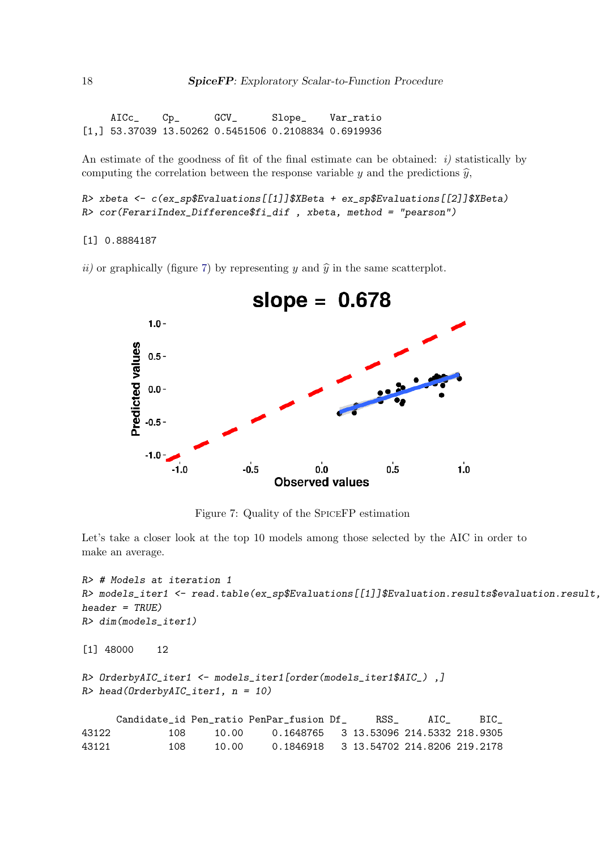AICc\_ Cp\_ GCV\_ Slope\_ Var\_ratio [1,] 53.37039 13.50262 0.5451506 0.2108834 0.6919936

An estimate of the goodness of fit of the final estimate can be obtained:  $i$ ) statistically by computing the correlation between the response variable y and the predictions  $\hat{y}$ ,

```
R> xbeta <- c(ex_sp$Evaluations[[1]]$XBeta + ex_sp$Evaluations[[2]]$XBeta)
R> cor(FerariIndex_Difference$fi_dif , xbeta, method = "pearson")
```

```
[1] 0.8884187
```
ii) or graphically (figure 7) by representing y and  $\hat{y}$  in the same scatterplot.



Figure 7: Quality of the SPICEFP estimation

Let's take a closer look at the top 10 models among those selected by the AIC in order to make an average.

```
R> # Models at iteration 1
R> models_iter1 <- read.table(ex_sp$Evaluations[[1]]$Evaluation.results$evaluation.result,
header = TRUE)
R> dim(models_iter1)
[1] 48000 12
R> OrderbyAIC_iter1 <- models_iter1[order(models_iter1$AIC_),]
R> head(OrderbyAIC_iter1, n = 10)
     Candidate_id Pen_ratio PenPar_fusion Df_ RSS_ AIC_ BIC_
43122 108 10.00 0.1648765 3 13.53096 214.5332 218.9305
43121 108 10.00 0.1846918 3 13.54702 214.8206 219.2178
```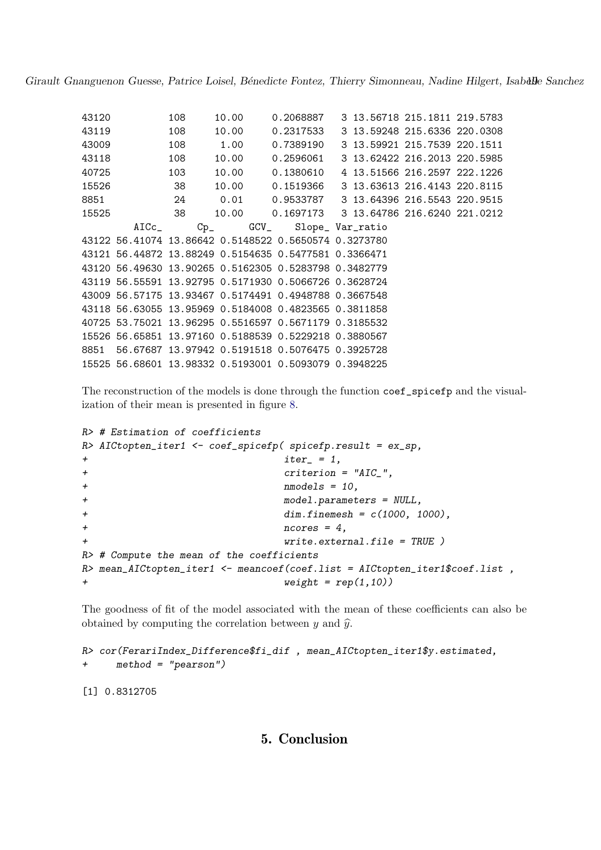| 43120 | 108 | 10.00 |                                                           | 0.2068887 3 13.56718 215.1811 219.5783                       |  |
|-------|-----|-------|-----------------------------------------------------------|--------------------------------------------------------------|--|
| 43119 | 108 |       |                                                           | 10.00 0.2317533 3 13.59248 215.6336 220.0308                 |  |
| 43009 | 108 |       |                                                           |                                                              |  |
| 43118 |     |       |                                                           | 108   10.00   0.2596061   3   13.62422   216.2013   220.5985 |  |
| 40725 |     |       |                                                           | 103 10.00 0.1380610 4 13.51566 216.2597 222.1226             |  |
| 15526 |     |       |                                                           | 38   10.00   0.1519366   3   13.63613   216.4143   220.8115  |  |
|       |     |       |                                                           | 8851 24 0.01 0.9533787 3 13.64396 216.5543 220.9515          |  |
|       |     |       |                                                           | 15525 38 10.00 0.1697173 3 13.64786 216.6240 221.0212        |  |
|       |     |       | AICc_ Cp_ GCV_ Slope_Var_ratio                            |                                                              |  |
|       |     |       | 43122 56.41074 13.86642 0.5148522 0.5650574 0.3273780     |                                                              |  |
|       |     |       | 43121 56.44872 13.88249 0.5154635 0.5477581 0.3366471     |                                                              |  |
|       |     |       | 43120 56.49630 13.90265 0.5162305 0.5283798 0.3482779     |                                                              |  |
|       |     |       | 43119 56.55591 13.92795 0.5171930 0.5066726 0.3628724     |                                                              |  |
|       |     |       | 43009 56.57175 13.93467 0.5174491 0.4948788 0.3667548     |                                                              |  |
|       |     |       | 43118 56.63055 13.95969 0.5184008 0.4823565 0.3811858     |                                                              |  |
|       |     |       | 40725 53.75021 13.96295 0.5516597 0.5671179 0.3185532     |                                                              |  |
|       |     |       | 15526 56.65851 13.97160 0.5188539 0.5229218 0.3880567     |                                                              |  |
|       |     |       | 8851  56.67687  13.97942  0.5191518  0.5076475  0.3925728 |                                                              |  |
|       |     |       | 15525 56.68601 13.98332 0.5193001 0.5093079 0.3948225     |                                                              |  |

The reconstruction of the models is done through the function coef\_spicefp and the visualization of their mean is presented in figure 8.

```
R> # Estimation of coefficients
R> AICtopten_iter1 <- coef_spicefp( spicefp.result = ex_sp,
+ iter_ = 1,
+ criterion = "AIC_",
+ nmodels = 10,
+ model.parameters = NULL,
+ dim.finemesh = c(1000, 1000),
+ ncores = 4,
+ write.external.file = TRUE )
R> # Compute the mean of the coefficients
R> mean_AICtopten_iter1 <- meancoef(coef.list = AICtopten_iter1$coef.list,
+ weight = rep(1,10)
```
The goodness of fit of the model associated with the mean of these coefficients can also be obtained by computing the correlation between  $y$  and  $\hat{y}$ .

```
R> cor(FerariIndex_Difference$fi_dif , mean_AICtopten_iter1$y.estimated,
+ method = "pearson")
```
[1] 0.8312705

# 5. Conclusion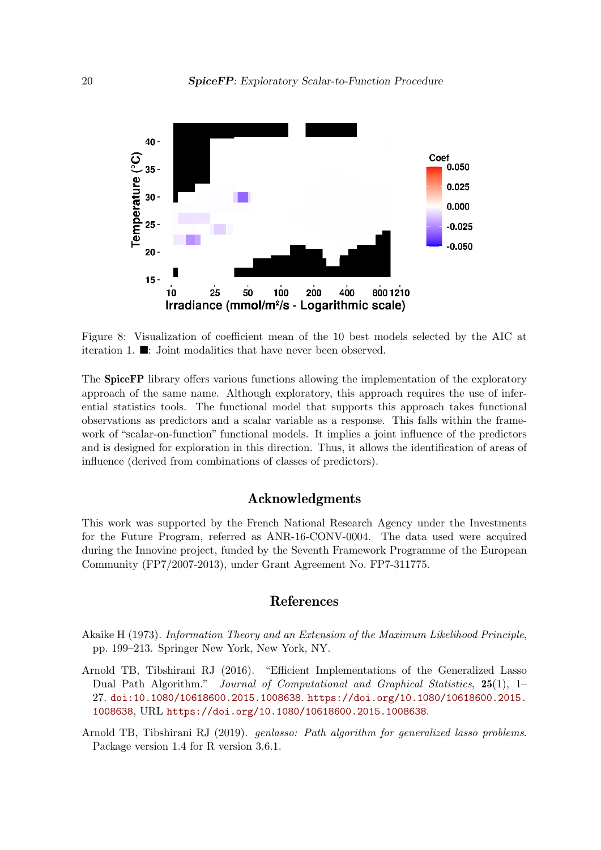

Figure 8: Visualization of coefficient mean of the 10 best models selected by the AIC at iteration 1. ■: Joint modalities that have never been observed.

The SpiceFP library offers various functions allowing the implementation of the exploratory approach of the same name. Although exploratory, this approach requires the use of inferential statistics tools. The functional model that supports this approach takes functional observations as predictors and a scalar variable as a response. This falls within the framework of "scalar-on-function" functional models. It implies a joint influence of the predictors and is designed for exploration in this direction. Thus, it allows the identification of areas of influence (derived from combinations of classes of predictors).

## Acknowledgments

This work was supported by the French National Research Agency under the Investments for the Future Program, referred as ANR-16-CONV-0004. The data used were acquired during the Innovine project, funded by the Seventh Framework Programme of the European Community (FP7/2007-2013), under Grant Agreement No. FP7-311775.

## References

- Akaike H (1973). Information Theory and an Extension of the Maximum Likelihood Principle, pp. 199–213. Springer New York, New York, NY.
- Arnold TB, Tibshirani RJ (2016). "Efficient Implementations of the Generalized Lasso Dual Path Algorithm." Journal of Computational and Graphical Statistics, 25(1), 1– 27. doi:10.1080/10618600.2015.1008638. https://doi.org/10.1080/10618600.2015. 1008638, URL https://doi.org/10.1080/10618600.2015.1008638.
- Arnold TB, Tibshirani RJ (2019). genlasso: Path algorithm for generalized lasso problems. Package version 1.4 for R version 3.6.1.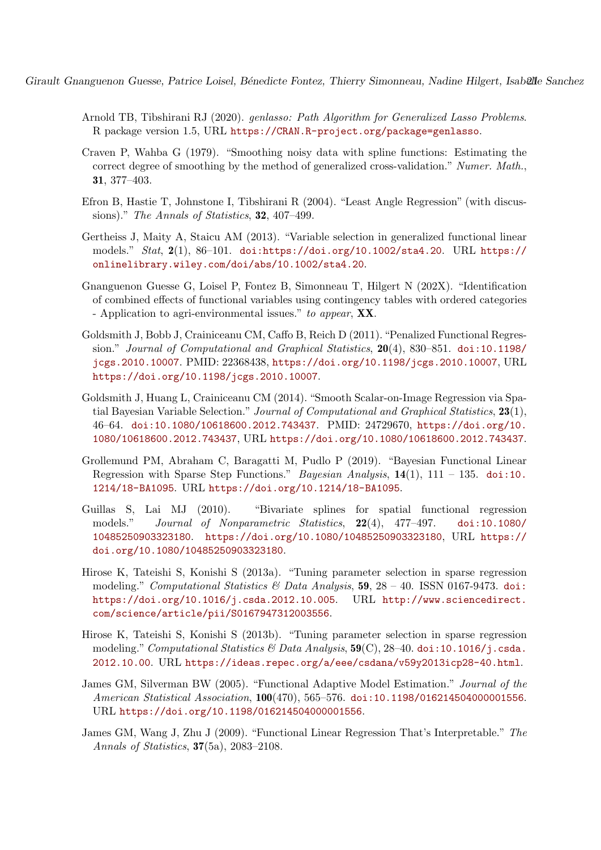- Arnold TB, Tibshirani RJ (2020). genlasso: Path Algorithm for Generalized Lasso Problems. R package version 1.5, URL https://CRAN.R-project.org/package=genlasso.
- Craven P, Wahba G (1979). "Smoothing noisy data with spline functions: Estimating the correct degree of smoothing by the method of generalized cross-validation." Numer. Math., 31, 377–403.
- Efron B, Hastie T, Johnstone I, Tibshirani R (2004). "Least Angle Regression" (with discussions)." The Annals of Statistics, **32**, 407-499.
- Gertheiss J, Maity A, Staicu AM (2013). "Variable selection in generalized functional linear models." Stat, 2(1), 86–101. doi:https://doi.org/10.1002/sta4.20. URL https:// onlinelibrary.wiley.com/doi/abs/10.1002/sta4.20.
- Gnanguenon Guesse G, Loisel P, Fontez B, Simonneau T, Hilgert N (202X). "Identification of combined effects of functional variables using contingency tables with ordered categories - Application to agri-environmental issues." to appear, **XX**.
- Goldsmith J, Bobb J, Crainiceanu CM, Caffo B, Reich D (2011). "Penalized Functional Regression." Journal of Computational and Graphical Statistics, 20(4), 830–851. doi:10.1198/ jcgs.2010.10007. PMID: 22368438, https://doi.org/10.1198/jcgs.2010.10007, URL https://doi.org/10.1198/jcgs.2010.10007.
- Goldsmith J, Huang L, Crainiceanu CM (2014). "Smooth Scalar-on-Image Regression via Spatial Bayesian Variable Selection." Journal of Computational and Graphical Statistics, 23(1), 46–64. doi:10.1080/10618600.2012.743437. PMID: 24729670, https://doi.org/10. 1080/10618600.2012.743437, URL https://doi.org/10.1080/10618600.2012.743437.
- Grollemund PM, Abraham C, Baragatti M, Pudlo P (2019). "Bayesian Functional Linear Regression with Sparse Step Functions." *Bayesian Analysis*,  $14(1)$ ,  $111 - 135$ . doi:10. 1214/18-BA1095. URL https://doi.org/10.1214/18-BA1095.
- Guillas S, Lai MJ (2010). "Bivariate splines for spatial functional regression models." Journal of Nonparametric Statistics, 22(4), 477–497. doi:10.1080/ 10485250903323180. https://doi.org/10.1080/10485250903323180, URL https:// doi.org/10.1080/10485250903323180.
- Hirose K, Tateishi S, Konishi S (2013a). "Tuning parameter selection in sparse regression modeling." Computational Statistics & Data Analysis,  $59, 28 - 40$ . ISSN 0167-9473. doi: https://doi.org/10.1016/j.csda.2012.10.005. URL http://www.sciencedirect. com/science/article/pii/S0167947312003556.
- Hirose K, Tateishi S, Konishi S (2013b). "Tuning parameter selection in sparse regression modeling." Computational Statistics & Data Analysis,  $59(C)$ , 28–40. doi:10.1016/j.csda. 2012.10.00. URL https://ideas.repec.org/a/eee/csdana/v59y2013icp28-40.html.
- James GM, Silverman BW (2005). "Functional Adaptive Model Estimation." Journal of the American Statistical Association, 100(470), 565–576. doi:10.1198/016214504000001556. URL https://doi.org/10.1198/016214504000001556.
- James GM, Wang J, Zhu J (2009). "Functional Linear Regression That's Interpretable." The Annals of Statistics, 37(5a), 2083–2108.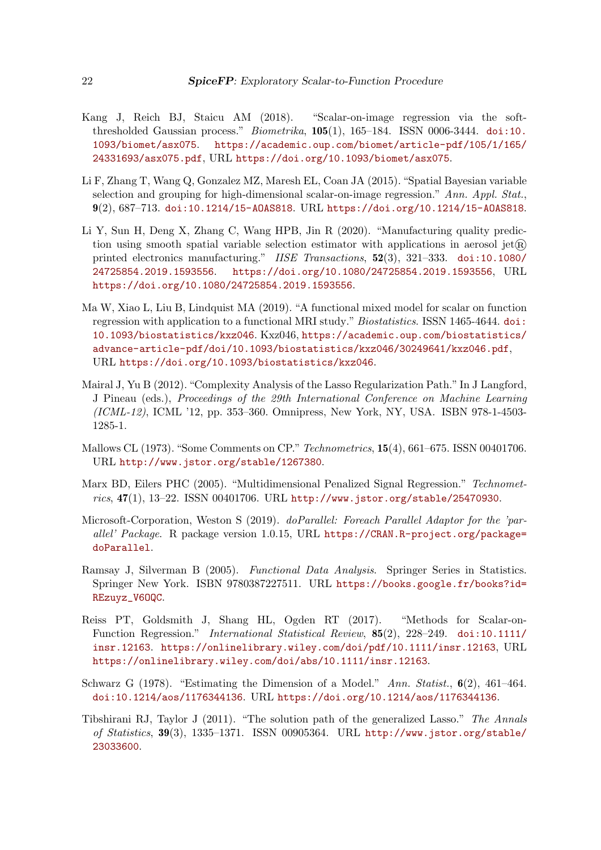- Kang J, Reich BJ, Staicu AM (2018). "Scalar-on-image regression via the softthresholded Gaussian process."  $Biometrika$ ,  $105(1)$ ,  $165-184$ . ISSN 0006-3444. doi:10. 1093/biomet/asx075. https://academic.oup.com/biomet/article-pdf/105/1/165/ 24331693/asx075.pdf, URL https://doi.org/10.1093/biomet/asx075.
- Li F, Zhang T, Wang Q, Gonzalez MZ, Maresh EL, Coan JA (2015). "Spatial Bayesian variable selection and grouping for high-dimensional scalar-on-image regression." Ann. Appl. Stat., 9(2), 687–713. doi:10.1214/15-AOAS818. URL https://doi.org/10.1214/15-AOAS818.
- Li Y, Sun H, Deng X, Zhang C, Wang HPB, Jin R (2020). "Manufacturing quality prediction using smooth spatial variable selection estimator with applications in aerosol jet $(\widehat{\mathbb{R}})$ printed electronics manufacturing." IISE Transactions, 52(3), 321–333. doi:10.1080/ 24725854.2019.1593556. https://doi.org/10.1080/24725854.2019.1593556, URL https://doi.org/10.1080/24725854.2019.1593556.
- Ma W, Xiao L, Liu B, Lindquist MA (2019). "A functional mixed model for scalar on function regression with application to a functional MRI study." Biostatistics. ISSN 1465-4644. doi: 10.1093/biostatistics/kxz046. Kxz046, https://academic.oup.com/biostatistics/ advance-article-pdf/doi/10.1093/biostatistics/kxz046/30249641/kxz046.pdf, URL https://doi.org/10.1093/biostatistics/kxz046.
- Mairal J, Yu B (2012). "Complexity Analysis of the Lasso Regularization Path." In J Langford, J Pineau (eds.), Proceedings of the 29th International Conference on Machine Learning (ICML-12), ICML '12, pp. 353–360. Omnipress, New York, NY, USA. ISBN 978-1-4503- 1285-1.
- Mallows CL (1973). "Some Comments on CP." Technometrics, 15(4), 661–675. ISSN 00401706. URL http://www.jstor.org/stable/1267380.
- Marx BD, Eilers PHC (2005). "Multidimensional Penalized Signal Regression." Technometrics, 47(1), 13–22. ISSN 00401706. URL http://www.jstor.org/stable/25470930.
- Microsoft-Corporation, Weston S (2019). doParallel: Foreach Parallel Adaptor for the 'parallel' Package. R package version 1.0.15, URL https://CRAN.R-project.org/package= doParallel.
- Ramsay J, Silverman B (2005). Functional Data Analysis. Springer Series in Statistics. Springer New York. ISBN 9780387227511. URL https://books.google.fr/books?id= REzuyz\_V6OQC.
- Reiss PT, Goldsmith J, Shang HL, Ogden RT (2017). "Methods for Scalar-on-Function Regression." International Statistical Review, 85(2), 228–249. doi:10.1111/ insr.12163. https://onlinelibrary.wiley.com/doi/pdf/10.1111/insr.12163, URL https://onlinelibrary.wiley.com/doi/abs/10.1111/insr.12163.
- Schwarz G (1978). "Estimating the Dimension of a Model." Ann. Statist.,  $6(2)$ , 461–464. doi:10.1214/aos/1176344136. URL https://doi.org/10.1214/aos/1176344136.
- Tibshirani RJ, Taylor J (2011). "The solution path of the generalized Lasso." The Annals of Statistics, 39(3), 1335–1371. ISSN 00905364. URL http://www.jstor.org/stable/ 23033600.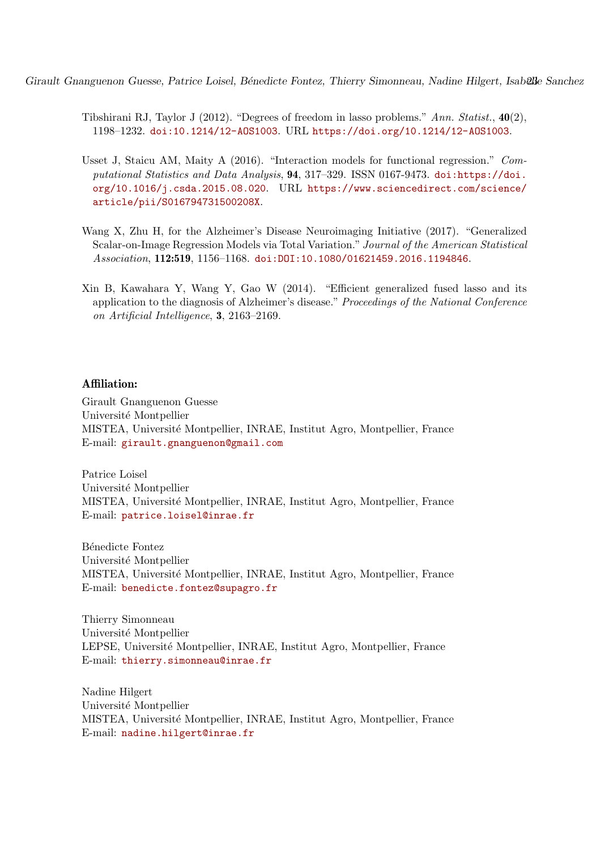- Tibshirani RJ, Taylor J (2012). "Degrees of freedom in lasso problems." Ann. Statist.,  $40(2)$ . 1198–1232. doi:10.1214/12-AOS1003. URL https://doi.org/10.1214/12-AOS1003.
- Usset J, Staicu AM, Maity A (2016). "Interaction models for functional regression." Computational Statistics and Data Analysis, 94, 317–329. ISSN 0167-9473. doi:https://doi. org/10.1016/j.csda.2015.08.020. URL https://www.sciencedirect.com/science/ article/pii/S016794731500208X.
- Wang X, Zhu H, for the Alzheimer's Disease Neuroimaging Initiative (2017). "Generalized Scalar-on-Image Regression Models via Total Variation." Journal of the American Statistical Association, 112:519, 1156–1168. doi:DOI:10.1080/01621459.2016.1194846.
- Xin B, Kawahara Y, Wang Y, Gao W (2014). "Efficient generalized fused lasso and its application to the diagnosis of Alzheimer's disease." Proceedings of the National Conference on Artificial Intelligence, 3, 2163–2169.

## Affiliation:

Girault Gnanguenon Guesse Université Montpellier MISTEA, Université Montpellier, INRAE, Institut Agro, Montpellier, France E-mail: girault.gnanguenon@gmail.com

Patrice Loisel Université Montpellier MISTEA, Université Montpellier, INRAE, Institut Agro, Montpellier, France E-mail: patrice.loisel@inrae.fr

Bénedicte Fontez Université Montpellier MISTEA, Universit´e Montpellier, INRAE, Institut Agro, Montpellier, France E-mail: benedicte.fontez@supagro.fr

Thierry Simonneau Université Montpellier LEPSE, Universit´e Montpellier, INRAE, Institut Agro, Montpellier, France E-mail: thierry.simonneau@inrae.fr

Nadine Hilgert Université Montpellier MISTEA, Université Montpellier, INRAE, Institut Agro, Montpellier, France E-mail: nadine.hilgert@inrae.fr